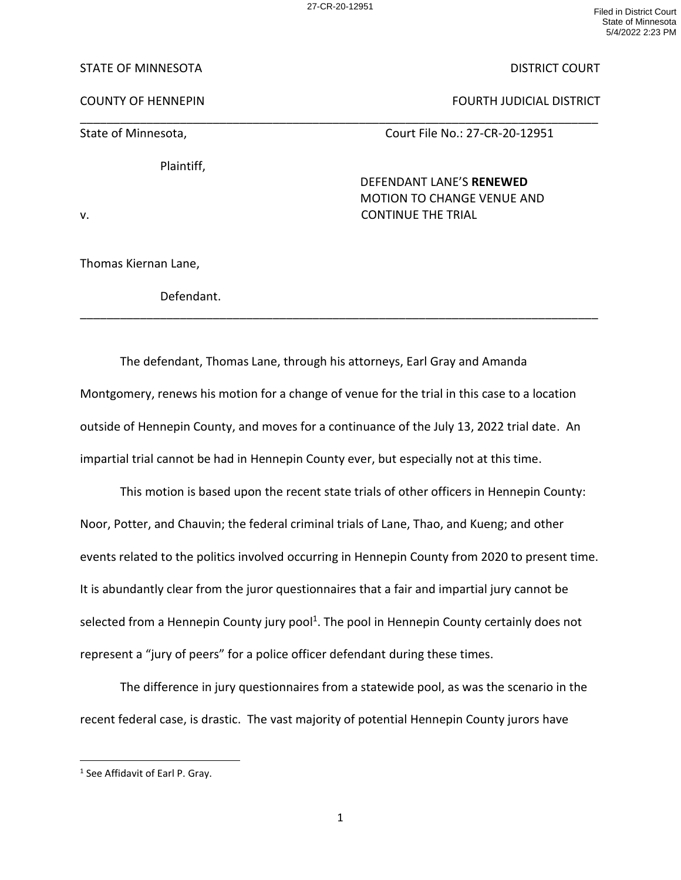27-CR-20-12951 Filed in District Court State of Minnesota 5/4/2022 2:23 PM

## STATE OF MINNESOTA DISTRICT COURT

COUNTY OF HENNEPIN FOURTH JUDICIAL DISTRICT

\_\_\_\_\_\_\_\_\_\_\_\_\_\_\_\_\_\_\_\_\_\_\_\_\_\_\_\_\_\_\_\_\_\_\_\_\_\_\_\_\_\_\_\_\_\_\_\_\_\_\_\_\_\_\_\_\_\_\_\_\_\_\_\_\_\_\_\_\_\_\_\_\_\_\_\_\_\_

State of Minnesota, The Court File No.: 27-CR-20-12951

Plaintiff,

DEFENDANT LANE'S **RENEWED** MOTION TO CHANGE VENUE AND v. CONTINUE THE TRIAL

Thomas Kiernan Lane,

Defendant.

The defendant, Thomas Lane, through his attorneys, Earl Gray and Amanda Montgomery, renews his motion for a change of venue for the trial in this case to a location outside of Hennepin County, and moves for a continuance of the July 13, 2022 trial date. An impartial trial cannot be had in Hennepin County ever, but especially not at this time.

\_\_\_\_\_\_\_\_\_\_\_\_\_\_\_\_\_\_\_\_\_\_\_\_\_\_\_\_\_\_\_\_\_\_\_\_\_\_\_\_\_\_\_\_\_\_\_\_\_\_\_\_\_\_\_\_\_\_\_\_\_\_\_\_\_\_\_\_\_\_\_\_\_\_\_\_\_\_

This motion is based upon the recent state trials of other officers in Hennepin County: Noor, Potter, and Chauvin; the federal criminal trials of Lane, Thao, and Kueng; and other events related to the politics involved occurring in Hennepin County from 2020 to present time. It is abundantly clear from the juror questionnaires that a fair and impartial jury cannot be selected from a Hennepin County jury pool<sup>1</sup>. The pool in Hennepin County certainly does not represent a "jury of peers" for a police officer defendant during these times.

The difference in jury questionnaires from a statewide pool, as was the scenario in the recent federal case, is drastic. The vast majority of potential Hennepin County jurors have

<sup>&</sup>lt;sup>1</sup> See Affidavit of Earl P. Gray.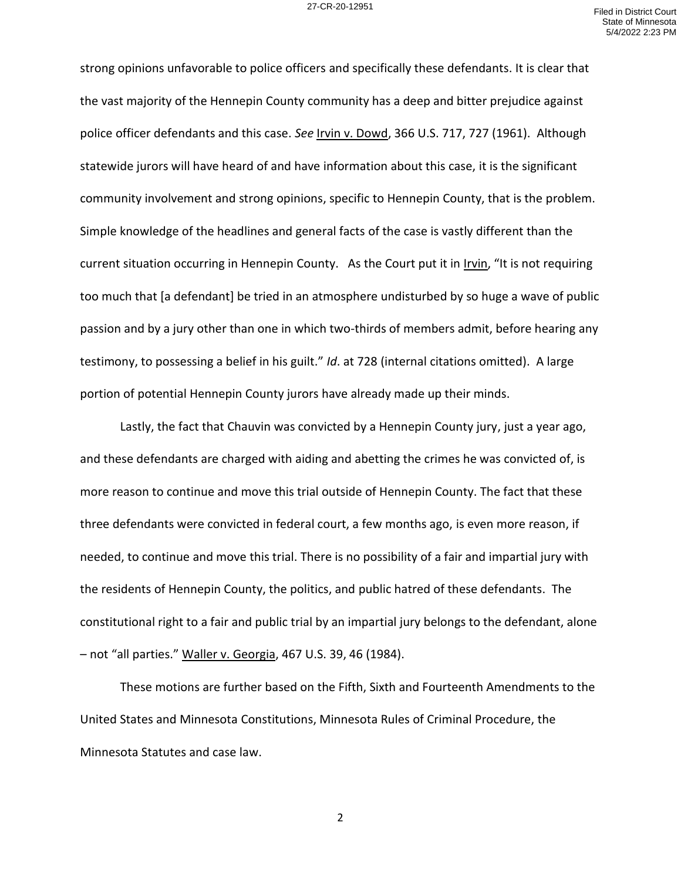strong opinions unfavorable to police officers and specifically these defendants. It is clear that the vast majority of the Hennepin County community has a deep and bitter prejudice against police officer defendants and this case. *See* Irvin v. Dowd, 366 U.S. 717, 727 (1961). Although statewide jurors will have heard of and have information about this case, it is the significant community involvement and strong opinions, specific to Hennepin County, that is the problem. Simple knowledge of the headlines and general facts of the case is vastly different than the current situation occurring in Hennepin County. As the Court put it in Irvin, "It is not requiring too much that [a defendant] be tried in an atmosphere undisturbed by so huge a wave of public passion and by a jury other than one in which two-thirds of members admit, before hearing any testimony, to possessing a belief in his guilt." *Id*. at 728 (internal citations omitted). A large portion of potential Hennepin County jurors have already made up their minds.

Lastly, the fact that Chauvin was convicted by a Hennepin County jury, just a year ago, and these defendants are charged with aiding and abetting the crimes he was convicted of, is more reason to continue and move this trial outside of Hennepin County. The fact that these three defendants were convicted in federal court, a few months ago, is even more reason, if needed, to continue and move this trial. There is no possibility of a fair and impartial jury with the residents of Hennepin County, the politics, and public hatred of these defendants. The constitutional right to a fair and public trial by an impartial jury belongs to the defendant, alone – not "all parties." Waller v. Georgia, 467 U.S. 39, 46 (1984).

These motions are further based on the Fifth, Sixth and Fourteenth Amendments to the United States and Minnesota Constitutions, Minnesota Rules of Criminal Procedure, the Minnesota Statutes and case law.

2